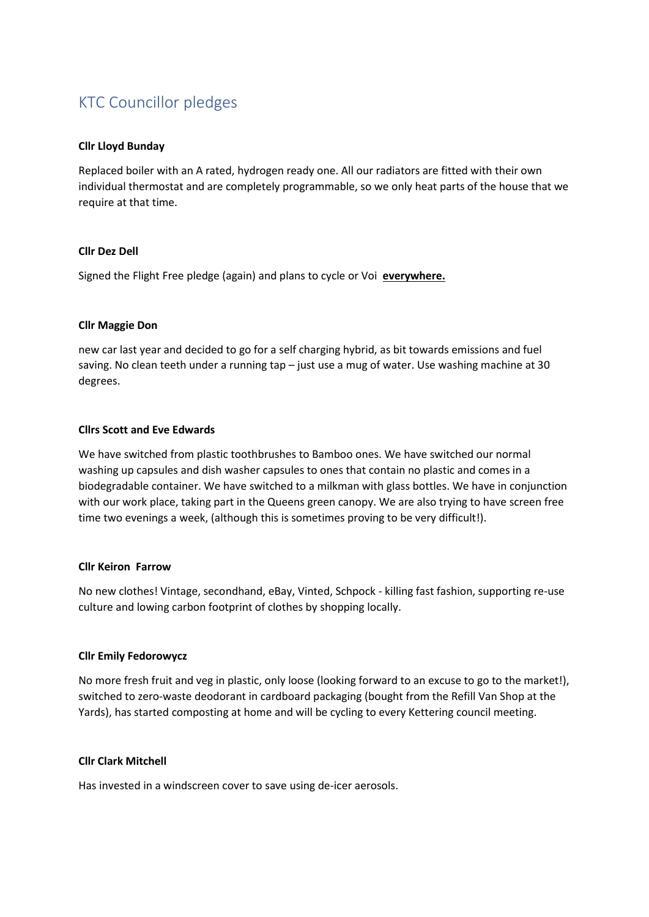# KTC Councillor pledges

## **Cllr Lloyd Bunday**

Replaced boiler with an A rated, hydrogen ready one. All our radiators are fitted with their own individual thermostat and are completely programmable, so we only heat parts of the house that we require at that time.

## **Cllr Dez Dell**

Signed the Flight Free pledge (again) and plans to cycle or Voi **everywhere.**

# **Cllr Maggie Don**

new car last year and decided to go for a self charging hybrid, as bit towards emissions and fuel saving. No clean teeth under a running tap – just use a mug of water. Use washing machine at 30 degrees.

# **Cllrs Scott and Eve Edwards**

We have switched from plastic toothbrushes to Bamboo ones. We have switched our normal washing up capsules and dish washer capsules to ones that contain no plastic and comes in a biodegradable container. We have switched to a milkman with glass bottles. We have in conjunction with our work place, taking part in the Queens green canopy. We are also trying to have screen free time two evenings a week, (although this is sometimes proving to be very difficult!).

## **Cllr Keiron Farrow**

No new clothes! Vintage, secondhand, eBay, Vinted, Schpock - killing fast fashion, supporting re-use culture and lowing carbon footprint of clothes by shopping locally.

## **Cllr Emily Fedorowycz**

No more fresh fruit and veg in plastic, only loose (looking forward to an excuse to go to the market!), switched to zero-waste deodorant in cardboard packaging (bought from the Refill Van Shop at the Yards), has started composting at home and will be cycling to every Kettering council meeting.

## **Cllr Clark Mitchell**

Has invested in a windscreen cover to save using de-icer aerosols.